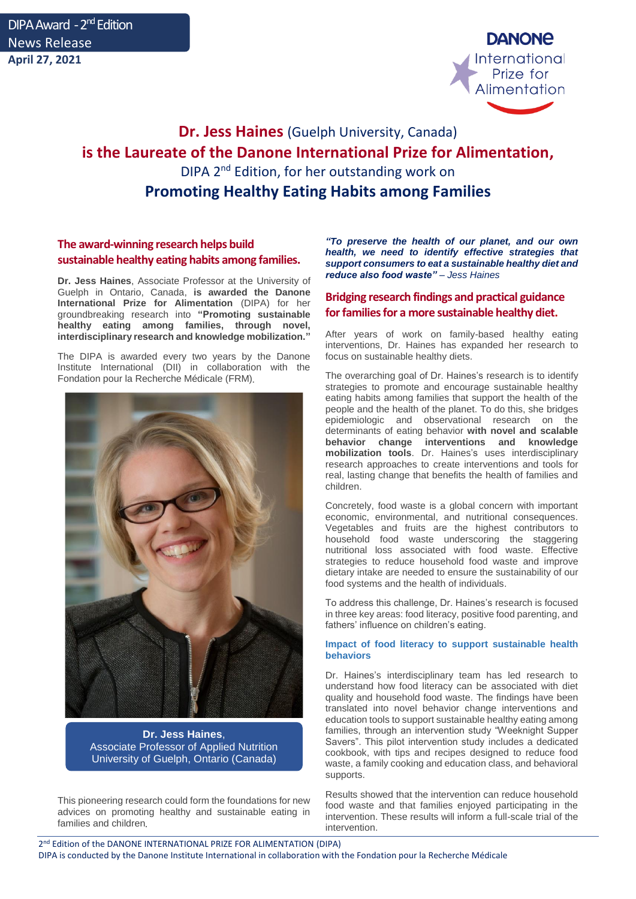

# **Dr. Jess Haines** (Guelph University, Canada) **is the Laureate of the Danone International Prize for Alimentation,**  DIPA 2<sup>nd</sup> Edition, for her outstanding work on **Promoting Healthy Eating Habits among Families**

## **The award-winning research helps build sustainable healthy eating habits among families.**

**Dr. Jess Haines**, Associate Professor at the University of Guelph in Ontario, Canada, **is awarded the Danone International Prize for Alimentation** (DIPA) for her groundbreaking research into **"Promoting sustainable healthy eating among families, through novel, interdisciplinary research and knowledge mobilization."**

The DIPA is awarded every two years by the Danone Institute International (DII) in collaboration with the Fondation pour la Recherche Médicale (FRM)



**Dr. Jess Haines**, Associate Professor of Applied Nutrition University of Guelph, Ontario (Canada)

This pioneering research could form the foundations for new advices on promoting healthy and sustainable eating in families and children

*"To preserve the health of our planet, and our own health, we need to identify effective strategies that support consumers to eat a sustainable healthy diet and reduce also food waste" – Jess Haines*

### **Bridging research findings and practical guidance for families for a more sustainable healthy diet.**

After years of work on family-based healthy eating interventions, Dr. Haines has expanded her research to focus on sustainable healthy diets.

The overarching goal of Dr. Haines's research is to identify strategies to promote and encourage sustainable healthy eating habits among families that support the health of the people and the health of the planet. To do this, she bridges epidemiologic and observational research on the determinants of eating behavior **with novel and scalable behavior change interventions and knowledge mobilization tools**. Dr. Haines's uses interdisciplinary research approaches to create interventions and tools for real, lasting change that benefits the health of families and children.

Concretely, food waste is a global concern with important economic, environmental, and nutritional consequences. Vegetables and fruits are the highest contributors to household food waste underscoring the staggering nutritional loss associated with food waste. Effective strategies to reduce household food waste and improve dietary intake are needed to ensure the sustainability of our food systems and the health of individuals.

To address this challenge, Dr. Haines's research is focused in three key areas: food literacy, positive food parenting, and fathers' influence on children's eating.

### **Impact of food literacy to support sustainable health behaviors**

Dr. Haines's interdisciplinary team has led research to understand how food literacy can be associated with diet quality and household food waste. The findings have been translated into novel behavior change interventions and education tools to support sustainable healthy eating among families, through an intervention study "Weeknight Supper Savers". This pilot intervention study includes a dedicated cookbook, with tips and recipes designed to reduce food waste, a family cooking and education class, and behavioral supports.

Results showed that the intervention can reduce household food waste and that families enjoyed participating in the intervention. These results will inform a full-scale trial of the intervention.